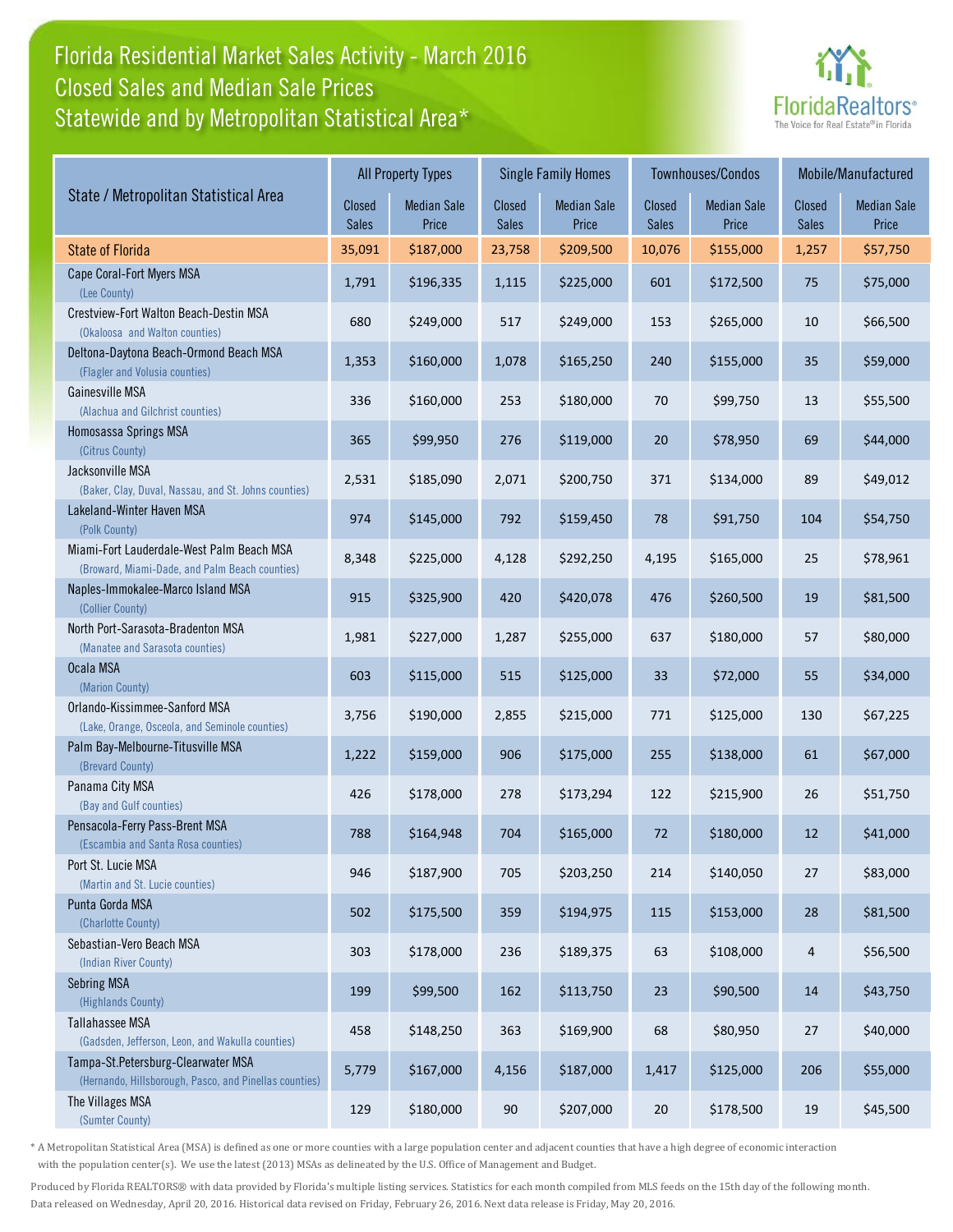## Florida Residential Market Sales Activity - March 2016 Statewide and by Metropolitan Statistical Area\* Closed Sales and Median Sale Prices



|                                                                                              | <b>All Property Types</b> |                             |                        | <b>Single Family Homes</b>  |                        | Townhouses/Condos           | Mobile/Manufactured    |                             |
|----------------------------------------------------------------------------------------------|---------------------------|-----------------------------|------------------------|-----------------------------|------------------------|-----------------------------|------------------------|-----------------------------|
| State / Metropolitan Statistical Area                                                        | Closed<br>Sales           | <b>Median Sale</b><br>Price | Closed<br><b>Sales</b> | <b>Median Sale</b><br>Price | Closed<br><b>Sales</b> | <b>Median Sale</b><br>Price | Closed<br><b>Sales</b> | <b>Median Sale</b><br>Price |
| <b>State of Florida</b>                                                                      | 35,091                    | \$187,000                   | 23,758                 | \$209,500                   | 10,076                 | \$155,000                   | 1,257                  | \$57,750                    |
| Cape Coral-Fort Myers MSA<br>(Lee County)                                                    | 1,791                     | \$196,335                   | 1,115                  | \$225,000                   | 601                    | \$172,500                   | 75                     | \$75,000                    |
| Crestview-Fort Walton Beach-Destin MSA<br>(Okaloosa and Walton counties)                     | 680                       | \$249,000                   | 517                    | \$249,000                   | 153                    | \$265,000                   | 10                     | \$66,500                    |
| Deltona-Daytona Beach-Ormond Beach MSA<br>(Flagler and Volusia counties)                     | 1,353                     | \$160,000                   | 1,078                  | \$165,250                   | 240                    | \$155,000                   | 35                     | \$59,000                    |
| Gainesville MSA<br>(Alachua and Gilchrist counties)                                          | 336                       | \$160,000                   | 253                    | \$180,000                   | 70                     | \$99,750                    | 13                     | \$55,500                    |
| Homosassa Springs MSA<br>(Citrus County)                                                     | 365                       | \$99,950                    | 276                    | \$119,000                   | 20                     | \$78,950                    | 69                     | \$44,000                    |
| Jacksonville MSA<br>(Baker, Clay, Duval, Nassau, and St. Johns counties)                     | 2,531                     | \$185,090                   | 2,071                  | \$200,750                   | 371                    | \$134,000                   | 89                     | \$49,012                    |
| Lakeland-Winter Haven MSA<br>(Polk County)                                                   | 974                       | \$145,000                   | 792                    | \$159,450                   | 78                     | \$91,750                    | 104                    | \$54,750                    |
| Miami-Fort Lauderdale-West Palm Beach MSA<br>(Broward, Miami-Dade, and Palm Beach counties)  | 8,348                     | \$225,000                   | 4,128                  | \$292,250                   | 4,195                  | \$165,000                   | 25                     | \$78,961                    |
| Naples-Immokalee-Marco Island MSA<br>(Collier County)                                        | 915                       | \$325,900                   | 420                    | \$420,078                   | 476                    | \$260,500                   | 19                     | \$81,500                    |
| North Port-Sarasota-Bradenton MSA<br>(Manatee and Sarasota counties)                         | 1,981                     | \$227,000                   | 1,287                  | \$255,000                   | 637                    | \$180,000                   | 57                     | \$80,000                    |
| Ocala MSA<br>(Marion County)                                                                 | 603                       | \$115,000                   | 515                    | \$125,000                   | 33                     | \$72,000                    | 55                     | \$34,000                    |
| Orlando-Kissimmee-Sanford MSA<br>(Lake, Orange, Osceola, and Seminole counties)              | 3,756                     | \$190,000                   | 2,855                  | \$215,000                   | 771                    | \$125,000                   | 130                    | \$67,225                    |
| Palm Bay-Melbourne-Titusville MSA<br>(Brevard County)                                        | 1,222                     | \$159,000                   | 906                    | \$175,000                   | 255                    | \$138,000                   | 61                     | \$67,000                    |
| Panama City MSA<br>(Bay and Gulf counties)                                                   | 426                       | \$178,000                   | 278                    | \$173,294                   | 122                    | \$215,900                   | 26                     | \$51,750                    |
| Pensacola-Ferry Pass-Brent MSA<br>(Escambia and Santa Rosa counties)                         | 788                       | \$164,948                   | 704                    | \$165,000                   | 72                     | \$180,000                   | 12                     | \$41,000                    |
| Port St. Lucie MSA<br>(Martin and St. Lucie counties)                                        | 946                       | \$187,900                   | 705                    | \$203,250                   | 214                    | \$140,050                   | 27                     | \$83,000                    |
| Punta Gorda MSA<br>(Charlotte County)                                                        | 502                       | \$175,500                   | 359                    | \$194,975                   | 115                    | \$153,000                   | 28                     | \$81,500                    |
| Sebastian-Vero Beach MSA<br>(Indian River County)                                            | 303                       | \$178,000                   | 236                    | \$189,375                   | 63                     | \$108,000                   | 4                      | \$56,500                    |
| Sebring MSA<br>(Highlands County)                                                            | 199                       | \$99,500                    | 162                    | \$113,750                   | 23                     | \$90,500                    | 14                     | \$43,750                    |
| Tallahassee MSA<br>(Gadsden, Jefferson, Leon, and Wakulla counties)                          | 458                       | \$148,250                   | 363                    | \$169,900                   | 68                     | \$80,950                    | 27                     | \$40,000                    |
| Tampa-St.Petersburg-Clearwater MSA<br>(Hernando, Hillsborough, Pasco, and Pinellas counties) | 5,779                     | \$167,000                   | 4,156                  | \$187,000                   | 1,417                  | \$125,000                   | 206                    | \$55,000                    |
| The Villages MSA<br>(Sumter County)                                                          | 129                       | \$180,000                   | 90                     | \$207,000                   | $20\,$                 | \$178,500                   | 19                     | \$45,500                    |

\* A Metropolitan Statistical Area (MSA) is defined as one or more counties with a large population center and adjacent counties that have a high degree of economic interaction with the population center(s). We use the latest (2013) MSAs as delineated by the U.S. Office of Management and Budget.

Produced by Florida REALTORS® with data provided by Florida's multiple listing services. Statistics for each month compiled from MLS feeds on the 15th day of the following month. Data released on Wednesday, April 20, 2016. Historical data revised on Friday, February 26, 2016. Next data release is Friday, May 20, 2016.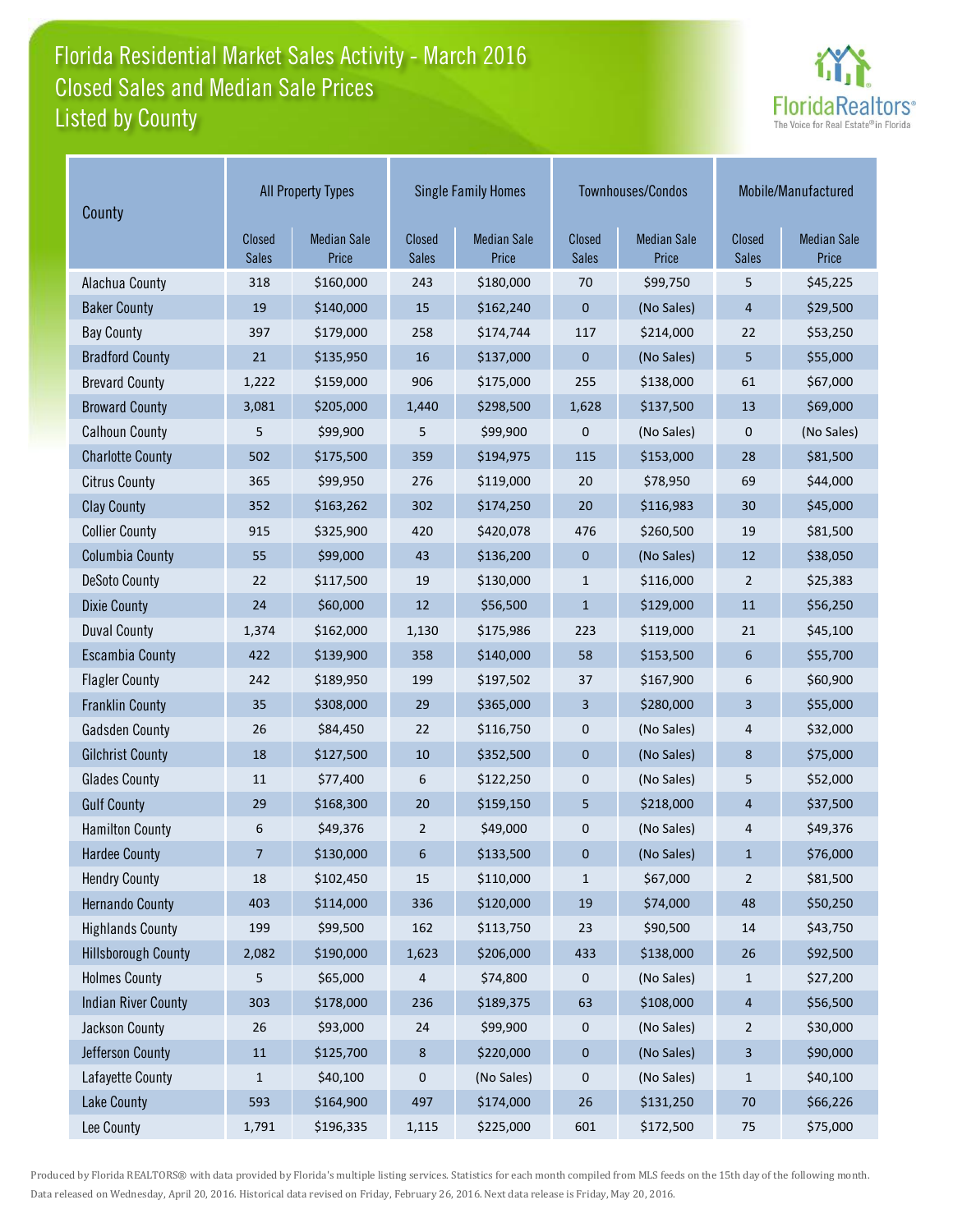## Florida Residential Market Sales Activity - March 2016 Listed by County Closed Sales and Median Sale Prices



| County                     | <b>All Property Types</b> |                             |                 | <b>Single Family Homes</b>  |                        | Townhouses/Condos           | Mobile/Manufactured |                             |
|----------------------------|---------------------------|-----------------------------|-----------------|-----------------------------|------------------------|-----------------------------|---------------------|-----------------------------|
|                            | Closed<br><b>Sales</b>    | <b>Median Sale</b><br>Price | Closed<br>Sales | <b>Median Sale</b><br>Price | Closed<br><b>Sales</b> | <b>Median Sale</b><br>Price | Closed<br>Sales     | <b>Median Sale</b><br>Price |
| Alachua County             | 318                       | \$160,000                   | 243             | \$180,000                   | 70                     | \$99,750                    | 5                   | \$45,225                    |
| <b>Baker County</b>        | 19                        | \$140,000                   | 15              | \$162,240                   | 0                      | (No Sales)                  | 4                   | \$29,500                    |
| <b>Bay County</b>          | 397                       | \$179,000                   | 258             | \$174,744                   | 117                    | \$214,000                   | 22                  | \$53,250                    |
| <b>Bradford County</b>     | 21                        | \$135,950                   | 16              | \$137,000                   | $\mathbf 0$            | (No Sales)                  | 5                   | \$55,000                    |
| <b>Brevard County</b>      | 1,222                     | \$159,000                   | 906             | \$175,000                   | 255                    | \$138,000                   | 61                  | \$67,000                    |
| <b>Broward County</b>      | 3,081                     | \$205,000                   | 1,440           | \$298,500                   | 1,628                  | \$137,500                   | 13                  | \$69,000                    |
| <b>Calhoun County</b>      | 5                         | \$99,900                    | 5               | \$99,900                    | 0                      | (No Sales)                  | $\mathbf 0$         | (No Sales)                  |
| <b>Charlotte County</b>    | 502                       | \$175,500                   | 359             | \$194,975                   | 115                    | \$153,000                   | 28                  | \$81,500                    |
| <b>Citrus County</b>       | 365                       | \$99,950                    | 276             | \$119,000                   | 20                     | \$78,950                    | 69                  | \$44,000                    |
| <b>Clay County</b>         | 352                       | \$163,262                   | 302             | \$174,250                   | 20                     | \$116,983                   | 30                  | \$45,000                    |
| <b>Collier County</b>      | 915                       | \$325,900                   | 420             | \$420,078                   | 476                    | \$260,500                   | 19                  | \$81,500                    |
| <b>Columbia County</b>     | 55                        | \$99,000                    | 43              | \$136,200                   | $\pmb{0}$              | (No Sales)                  | 12                  | \$38,050                    |
| <b>DeSoto County</b>       | 22                        | \$117,500                   | 19              | \$130,000                   | $\mathbf{1}$           | \$116,000                   | $\overline{2}$      | \$25,383                    |
| <b>Dixie County</b>        | 24                        | \$60,000                    | 12              | \$56,500                    | $\mathbf{1}$           | \$129,000                   | 11                  | \$56,250                    |
| <b>Duval County</b>        | 1,374                     | \$162,000                   | 1,130           | \$175,986                   | 223                    | \$119,000                   | 21                  | \$45,100                    |
| <b>Escambia County</b>     | 422                       | \$139,900                   | 358             | \$140,000                   | 58                     | \$153,500                   | 6                   | \$55,700                    |
| <b>Flagler County</b>      | 242                       | \$189,950                   | 199             | \$197,502                   | 37                     | \$167,900                   | 6                   | \$60,900                    |
| <b>Franklin County</b>     | 35                        | \$308,000                   | 29              | \$365,000                   | 3                      | \$280,000                   | 3                   | \$55,000                    |
| <b>Gadsden County</b>      | 26                        | \$84,450                    | 22              | \$116,750                   | 0                      | (No Sales)                  | 4                   | \$32,000                    |
| <b>Gilchrist County</b>    | 18                        | \$127,500                   | 10              | \$352,500                   | $\pmb{0}$              | (No Sales)                  | 8                   | \$75,000                    |
| <b>Glades County</b>       | 11                        | \$77,400                    | 6               | \$122,250                   | 0                      | (No Sales)                  | 5                   | \$52,000                    |
| <b>Gulf County</b>         | 29                        | \$168,300                   | 20              | \$159,150                   | 5                      | \$218,000                   | $\overline{4}$      | \$37,500                    |
| <b>Hamilton County</b>     | 6                         | \$49,376                    | $\overline{2}$  | \$49,000                    | 0                      | (No Sales)                  | 4                   | \$49,376                    |
| <b>Hardee County</b>       | $\overline{7}$            | \$130,000                   | 6               | \$133,500                   | 0                      | (No Sales)                  | $\mathbf{1}$        | \$76,000                    |
| <b>Hendry County</b>       | 18                        | \$102,450                   | 15              | \$110,000                   | $\mathbf{1}$           | \$67,000                    | $\overline{2}$      | \$81,500                    |
| <b>Hernando County</b>     | 403                       | \$114,000                   | 336             | \$120,000                   | 19                     | \$74,000                    | 48                  | \$50,250                    |
| <b>Highlands County</b>    | 199                       | \$99,500                    | 162             | \$113,750                   | 23                     | \$90,500                    | 14                  | \$43,750                    |
| <b>Hillsborough County</b> | 2,082                     | \$190,000                   | 1,623           | \$206,000                   | 433                    | \$138,000                   | $26\,$              | \$92,500                    |
| <b>Holmes County</b>       | 5                         | \$65,000                    | 4               | \$74,800                    | 0                      | (No Sales)                  | $\mathbf{1}$        | \$27,200                    |
| <b>Indian River County</b> | 303                       | \$178,000                   | 236             | \$189,375                   | 63                     | \$108,000                   | $\overline{4}$      | \$56,500                    |
| Jackson County             | 26                        | \$93,000                    | 24              | \$99,900                    | 0                      | (No Sales)                  | $\overline{c}$      | \$30,000                    |
| Jefferson County           | $11\,$                    | \$125,700                   | $\bf 8$         | \$220,000                   | 0                      | (No Sales)                  | $\mathbf{3}$        | \$90,000                    |
| Lafayette County           | $\mathbf{1}$              | \$40,100                    | $\mathbf 0$     | (No Sales)                  | 0                      | (No Sales)                  | $\mathbf{1}$        | \$40,100                    |
| <b>Lake County</b>         | 593                       | \$164,900                   | 497             | \$174,000                   | $26\,$                 | \$131,250                   | $70\,$              | \$66,226                    |
| Lee County                 | 1,791                     | \$196,335                   | 1,115           | \$225,000                   | 601                    | \$172,500                   | 75                  | \$75,000                    |

Produced by Florida REALTORS® with data provided by Florida's multiple listing services. Statistics for each month compiled from MLS feeds on the 15th day of the following month. Data released on Wednesday, April 20, 2016. Historical data revised on Friday, February 26, 2016. Next data release is Friday, May 20, 2016.